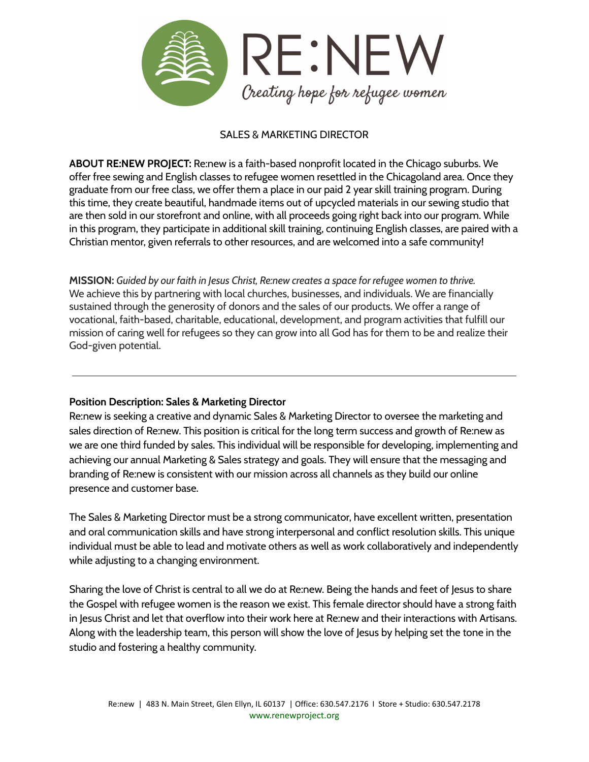

# SALES & MARKETING DIRECTOR

**ABOUT RE:NEW PROJECT:** Re:new is a faith-based nonprofit located in the Chicago suburbs. We offer free sewing and English classes to refugee women resettled in the Chicagoland area. Once they graduate from our free class, we offer them a place in our paid 2 year skill training program. During this time, they create beautiful, handmade items out of upcycled materials in our sewing studio that are then sold in our storefront and online, with all proceeds going right back into our program. While in this program, they participate in additional skill training, continuing English classes, are paired with a Christian mentor, given referrals to other resources, and are welcomed into a safe community!

**MISSION:** *Guided by our faith in Jesus Christ, Re:new creates a space for refugee women to thrive.* We achieve this by partnering with local churches, businesses, and individuals. We are financially sustained through the generosity of donors and the sales of our products. We offer a range of vocational, faith-based, charitable, educational, development, and program activities that fulfill our mission of caring well for refugees so they can grow into all God has for them to be and realize their God-given potential.

## **Position Description: Sales & Marketing Director**

Re:new is seeking a creative and dynamic Sales & Marketing Director to oversee the marketing and sales direction of Re:new. This position is critical for the long term success and growth of Re:new as we are one third funded by sales. This individual will be responsible for developing, implementing and achieving our annual Marketing & Sales strategy and goals. They will ensure that the messaging and branding of Re:new is consistent with our mission across all channels as they build our online presence and customer base.

The Sales & Marketing Director must be a strong communicator, have excellent written, presentation and oral communication skills and have strong interpersonal and conflict resolution skills. This unique individual must be able to lead and motivate others as well as work collaboratively and independently while adjusting to a changing environment.

Sharing the love of Christ is central to all we do at Re:new. Being the hands and feet of Jesus to share the Gospel with refugee women is the reason we exist. This female director should have a strong faith in Jesus Christ and let that overflow into their work here at Re:new and their interactions with Artisans. Along with the leadership team, this person will show the love of Jesus by helping set the tone in the studio and fostering a healthy community.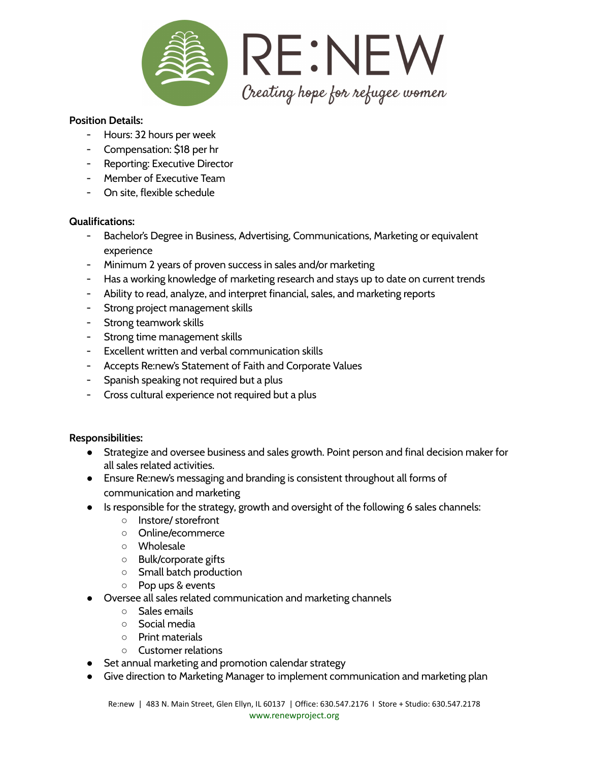

### **Position Details:**

- Hours: 32 hours per week
- Compensation: \$18 per hr
- Reporting: Executive Director
- Member of Executive Team
- On site, flexible schedule

#### **Qualifications:**

- Bachelor's Degree in Business, Advertising, Communications, Marketing or equivalent experience
- Minimum 2 years of proven success in sales and/or marketing
- Has a working knowledge of marketing research and stays up to date on current trends
- Ability to read, analyze, and interpret financial, sales, and marketing reports
- Strong project management skills
- Strong teamwork skills
- Strong time management skills
- Excellent written and verbal communication skills
- Accepts Re:new's Statement of Faith and Corporate Values
- Spanish speaking not required but a plus
- Cross cultural experience not required but a plus

### **Responsibilities:**

- Strategize and oversee business and sales growth. Point person and final decision maker for all sales related activities.
- Ensure Re:new's messaging and branding is consistent throughout all forms of communication and marketing
- Is responsible for the strategy, growth and oversight of the following 6 sales channels:
	- Instore/ storefront
	- Online/ecommerce
	- Wholesale
	- Bulk/corporate gifts
	- Small batch production
	- Pop ups & events
- Oversee all sales related communication and marketing channels
	- Sales emails
	- Social media
	- Print materials
	- Customer relations
- Set annual marketing and promotion calendar strategy
- Give direction to Marketing Manager to implement communication and marketing plan